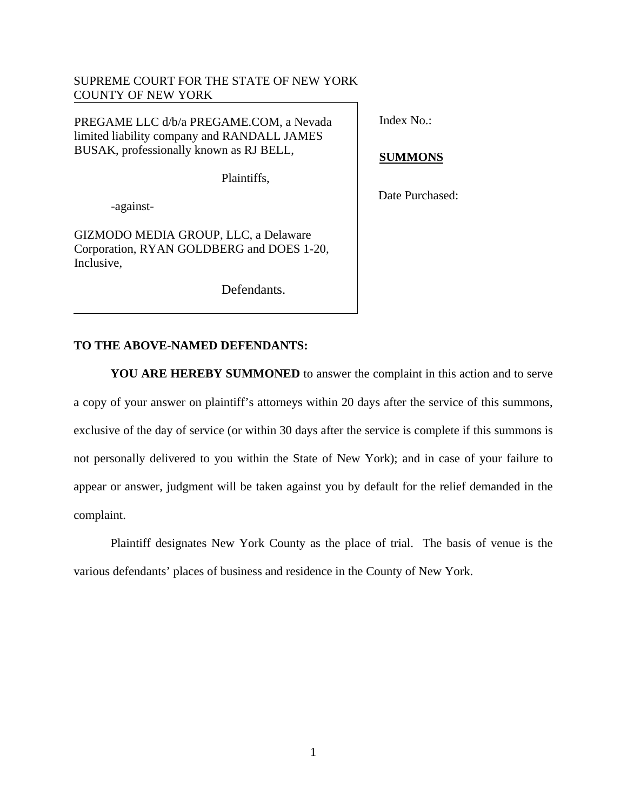# SUPREME COURT FOR THE STATE OF NEW YORK COUNTY OF NEW YORK

PREGAME LLC d/b/a PREGAME.COM, a Nevada limited liability company and RANDALL JAMES BUSAK, professionally known as RJ BELL,

Plaintiffs,

-against-

GIZMODO MEDIA GROUP, LLC, a Delaware Corporation, RYAN GOLDBERG and DOES 1-20, Inclusive,

Defendants.

Index No.:

**SUMMONS** 

Date Purchased:

# **TO THE ABOVE-NAMED DEFENDANTS:**

**YOU ARE HEREBY SUMMONED** to answer the complaint in this action and to serve a copy of your answer on plaintiff's attorneys within 20 days after the service of this summons, exclusive of the day of service (or within 30 days after the service is complete if this summons is not personally delivered to you within the State of New York); and in case of your failure to appear or answer, judgment will be taken against you by default for the relief demanded in the complaint.

Plaintiff designates New York County as the place of trial. The basis of venue is the various defendants' places of business and residence in the County of New York.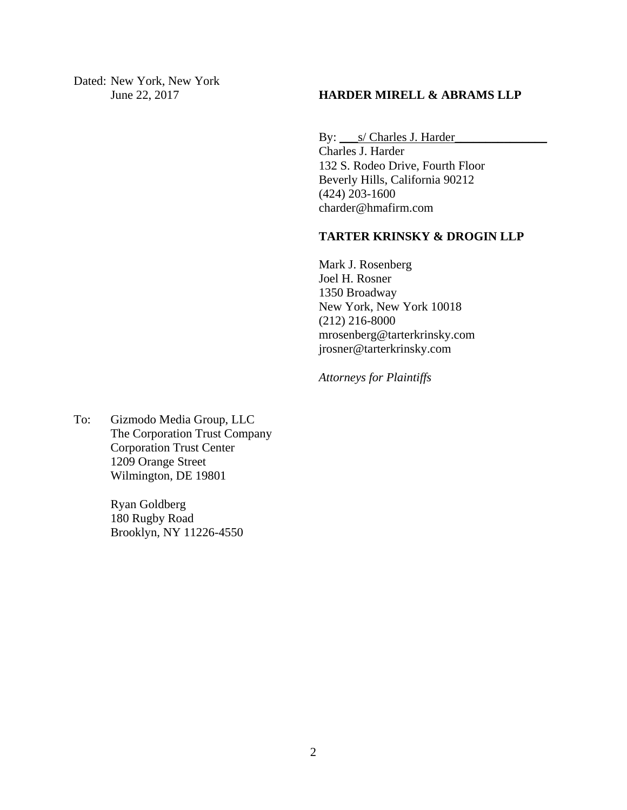Dated: New York, New York

# June 22, 2017 **HARDER MIRELL & ABRAMS LLP**

By: \_\_\_s/ Charles J. Harder\_\_\_\_\_\_\_\_\_\_\_\_\_\_\_

Charles J. Harder 132 S. Rodeo Drive, Fourth Floor Beverly Hills, California 90212 (424) 203-1600 charder@hmafirm.com

# **TARTER KRINSKY & DROGIN LLP**

Mark J. Rosenberg Joel H. Rosner 1350 Broadway New York, New York 10018 (212) 216-8000 mrosenberg@tarterkrinsky.com jrosner@tarterkrinsky.com

*Attorneys for Plaintiffs* 

To: Gizmodo Media Group, LLC The Corporation Trust Company Corporation Trust Center 1209 Orange Street Wilmington, DE 19801

> Ryan Goldberg 180 Rugby Road Brooklyn, NY 11226-4550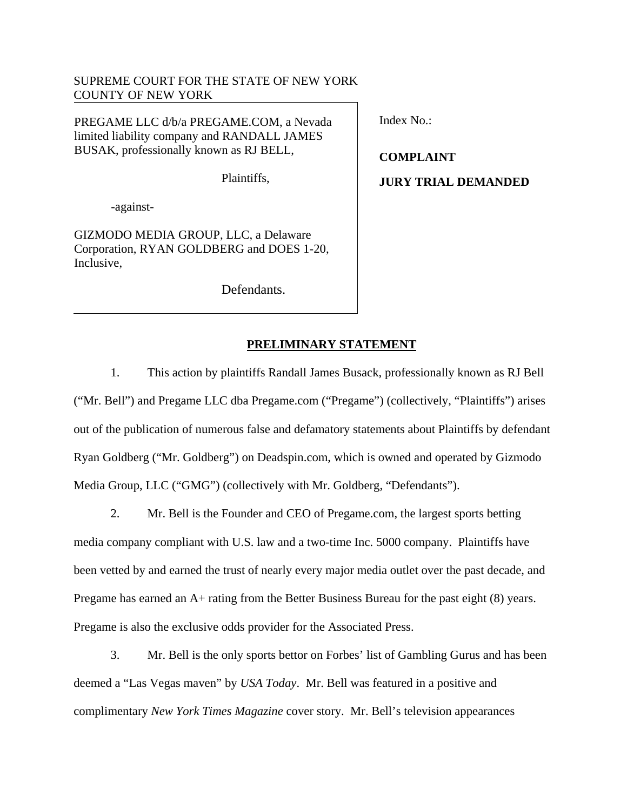# SUPREME COURT FOR THE STATE OF NEW YORK COUNTY OF NEW YORK

PREGAME LLC d/b/a PREGAME.COM, a Nevada limited liability company and RANDALL JAMES BUSAK, professionally known as RJ BELL,

Plaintiffs,

-against-

GIZMODO MEDIA GROUP, LLC, a Delaware Corporation, RYAN GOLDBERG and DOES 1-20, Inclusive,

Defendants.

Index No.:

**COMPLAINT JURY TRIAL DEMANDED** 

# **PRELIMINARY STATEMENT**

1. This action by plaintiffs Randall James Busack, professionally known as RJ Bell ("Mr. Bell") and Pregame LLC dba Pregame.com ("Pregame") (collectively, "Plaintiffs") arises out of the publication of numerous false and defamatory statements about Plaintiffs by defendant Ryan Goldberg ("Mr. Goldberg") on Deadspin.com, which is owned and operated by Gizmodo Media Group, LLC ("GMG") (collectively with Mr. Goldberg, "Defendants").

2. Mr. Bell is the Founder and CEO of Pregame.com, the largest sports betting media company compliant with U.S. law and a two-time Inc. 5000 company. Plaintiffs have been vetted by and earned the trust of nearly every major media outlet over the past decade, and Pregame has earned an A+ rating from the Better Business Bureau for the past eight (8) years. Pregame is also the exclusive odds provider for the Associated Press.

3. Mr. Bell is the only sports bettor on Forbes' list of Gambling Gurus and has been deemed a "Las Vegas maven" by *USA Today*. Mr. Bell was featured in a positive and complimentary *New York Times Magazine* cover story. Mr. Bell's television appearances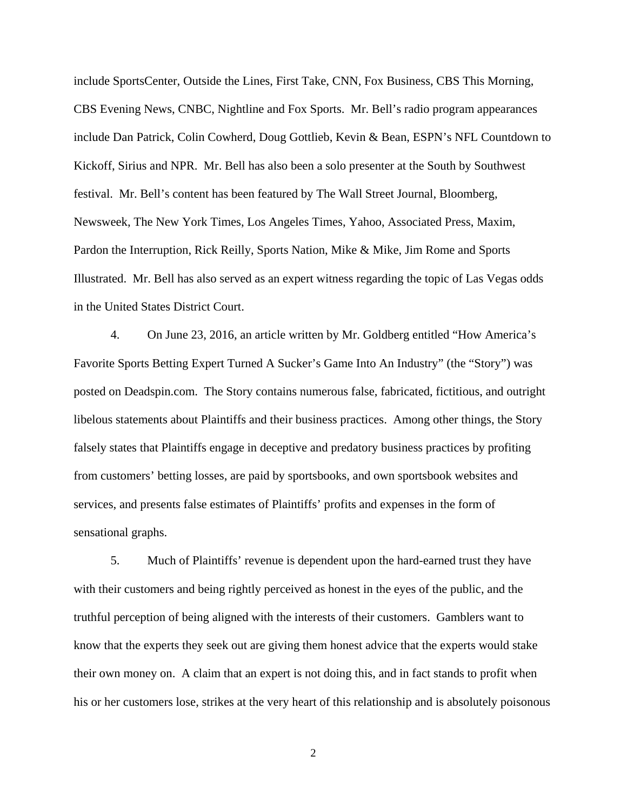include SportsCenter, Outside the Lines, First Take, CNN, Fox Business, CBS This Morning, CBS Evening News, CNBC, Nightline and Fox Sports. Mr. Bell's radio program appearances include Dan Patrick, Colin Cowherd, Doug Gottlieb, Kevin & Bean, ESPN's NFL Countdown to Kickoff, Sirius and NPR. Mr. Bell has also been a solo presenter at the South by Southwest festival. Mr. Bell's content has been featured by The Wall Street Journal, Bloomberg, Newsweek, The New York Times, Los Angeles Times, Yahoo, Associated Press, Maxim, Pardon the Interruption, Rick Reilly, Sports Nation, Mike & Mike, Jim Rome and Sports Illustrated. Mr. Bell has also served as an expert witness regarding the topic of Las Vegas odds in the United States District Court.

4. On June 23, 2016, an article written by Mr. Goldberg entitled "How America's Favorite Sports Betting Expert Turned A Sucker's Game Into An Industry" (the "Story") was posted on Deadspin.com. The Story contains numerous false, fabricated, fictitious, and outright libelous statements about Plaintiffs and their business practices. Among other things, the Story falsely states that Plaintiffs engage in deceptive and predatory business practices by profiting from customers' betting losses, are paid by sportsbooks, and own sportsbook websites and services, and presents false estimates of Plaintiffs' profits and expenses in the form of sensational graphs.

5. Much of Plaintiffs' revenue is dependent upon the hard-earned trust they have with their customers and being rightly perceived as honest in the eyes of the public, and the truthful perception of being aligned with the interests of their customers. Gamblers want to know that the experts they seek out are giving them honest advice that the experts would stake their own money on. A claim that an expert is not doing this, and in fact stands to profit when his or her customers lose, strikes at the very heart of this relationship and is absolutely poisonous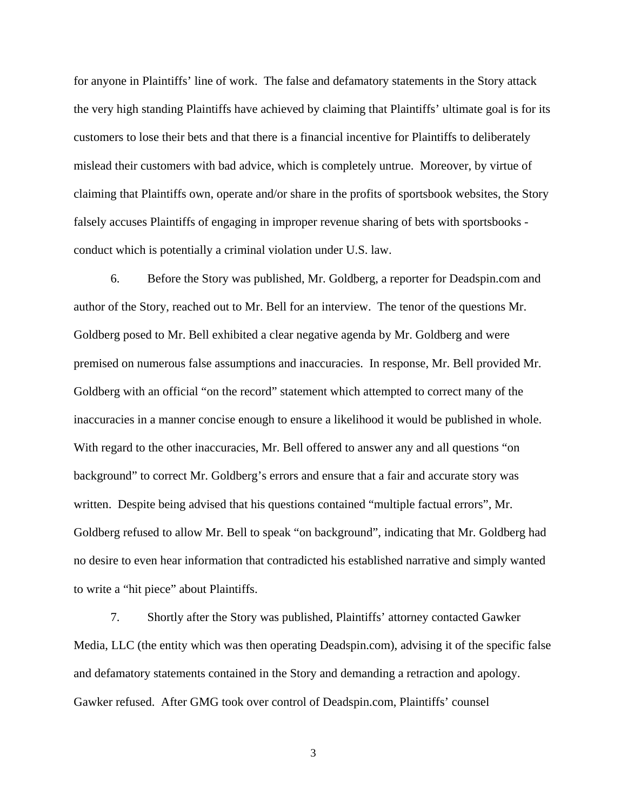for anyone in Plaintiffs' line of work. The false and defamatory statements in the Story attack the very high standing Plaintiffs have achieved by claiming that Plaintiffs' ultimate goal is for its customers to lose their bets and that there is a financial incentive for Plaintiffs to deliberately mislead their customers with bad advice, which is completely untrue. Moreover, by virtue of claiming that Plaintiffs own, operate and/or share in the profits of sportsbook websites, the Story falsely accuses Plaintiffs of engaging in improper revenue sharing of bets with sportsbooks conduct which is potentially a criminal violation under U.S. law.

6. Before the Story was published, Mr. Goldberg, a reporter for Deadspin.com and author of the Story, reached out to Mr. Bell for an interview. The tenor of the questions Mr. Goldberg posed to Mr. Bell exhibited a clear negative agenda by Mr. Goldberg and were premised on numerous false assumptions and inaccuracies. In response, Mr. Bell provided Mr. Goldberg with an official "on the record" statement which attempted to correct many of the inaccuracies in a manner concise enough to ensure a likelihood it would be published in whole. With regard to the other inaccuracies, Mr. Bell offered to answer any and all questions "on background" to correct Mr. Goldberg's errors and ensure that a fair and accurate story was written. Despite being advised that his questions contained "multiple factual errors", Mr. Goldberg refused to allow Mr. Bell to speak "on background", indicating that Mr. Goldberg had no desire to even hear information that contradicted his established narrative and simply wanted to write a "hit piece" about Plaintiffs.

7. Shortly after the Story was published, Plaintiffs' attorney contacted Gawker Media, LLC (the entity which was then operating Deadspin.com), advising it of the specific false and defamatory statements contained in the Story and demanding a retraction and apology. Gawker refused. After GMG took over control of Deadspin.com, Plaintiffs' counsel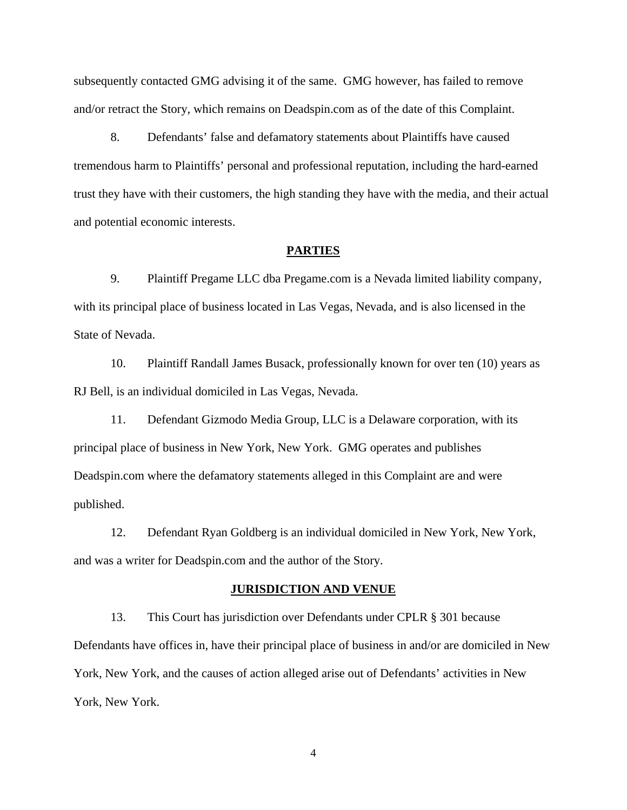subsequently contacted GMG advising it of the same. GMG however, has failed to remove and/or retract the Story, which remains on Deadspin.com as of the date of this Complaint.

8. Defendants' false and defamatory statements about Plaintiffs have caused tremendous harm to Plaintiffs' personal and professional reputation, including the hard-earned trust they have with their customers, the high standing they have with the media, and their actual and potential economic interests.

#### **PARTIES**

9. Plaintiff Pregame LLC dba Pregame.com is a Nevada limited liability company, with its principal place of business located in Las Vegas, Nevada, and is also licensed in the State of Nevada.

10. Plaintiff Randall James Busack, professionally known for over ten (10) years as RJ Bell, is an individual domiciled in Las Vegas, Nevada.

11. Defendant Gizmodo Media Group, LLC is a Delaware corporation, with its principal place of business in New York, New York. GMG operates and publishes Deadspin.com where the defamatory statements alleged in this Complaint are and were published.

12. Defendant Ryan Goldberg is an individual domiciled in New York, New York, and was a writer for Deadspin.com and the author of the Story.

### **JURISDICTION AND VENUE**

13. This Court has jurisdiction over Defendants under CPLR § 301 because Defendants have offices in, have their principal place of business in and/or are domiciled in New York, New York, and the causes of action alleged arise out of Defendants' activities in New York, New York.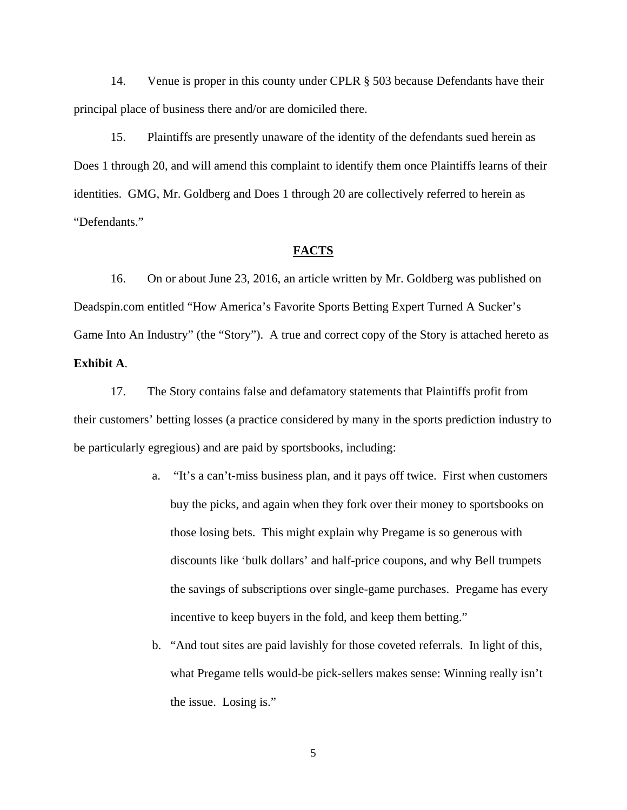14. Venue is proper in this county under CPLR § 503 because Defendants have their principal place of business there and/or are domiciled there.

15. Plaintiffs are presently unaware of the identity of the defendants sued herein as Does 1 through 20, and will amend this complaint to identify them once Plaintiffs learns of their identities. GMG, Mr. Goldberg and Does 1 through 20 are collectively referred to herein as "Defendants."

## **FACTS**

16. On or about June 23, 2016, an article written by Mr. Goldberg was published on Deadspin.com entitled "How America's Favorite Sports Betting Expert Turned A Sucker's Game Into An Industry" (the "Story"). A true and correct copy of the Story is attached hereto as **Exhibit A**.

17. The Story contains false and defamatory statements that Plaintiffs profit from their customers' betting losses (a practice considered by many in the sports prediction industry to be particularly egregious) and are paid by sportsbooks, including:

- a. "It's a can't-miss business plan, and it pays off twice. First when customers buy the picks, and again when they fork over their money to sportsbooks on those losing bets. This might explain why Pregame is so generous with discounts like 'bulk dollars' and half-price coupons, and why Bell trumpets the savings of subscriptions over single-game purchases. Pregame has every incentive to keep buyers in the fold, and keep them betting."
- b. "And tout sites are paid lavishly for those coveted referrals. In light of this, what Pregame tells would-be pick-sellers makes sense: Winning really isn't the issue. Losing is."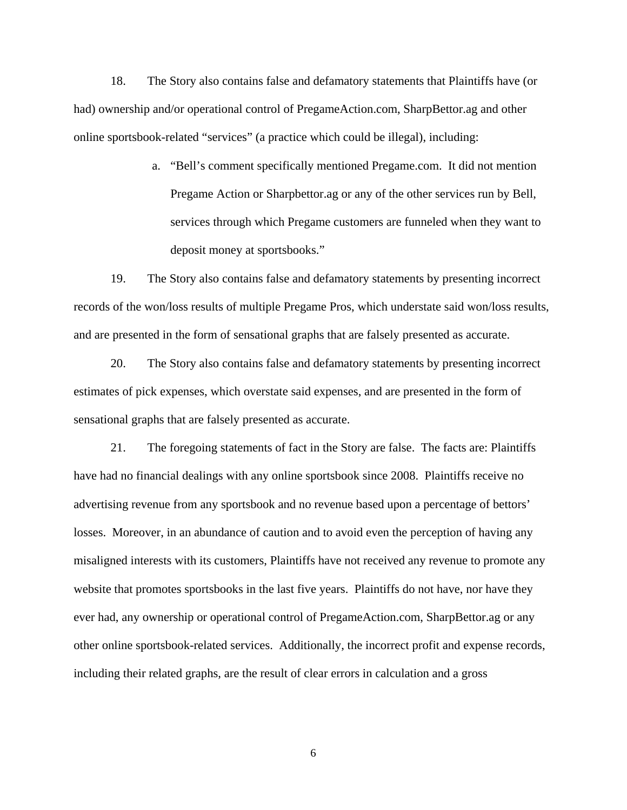18. The Story also contains false and defamatory statements that Plaintiffs have (or had) ownership and/or operational control of PregameAction.com, SharpBettor.ag and other online sportsbook-related "services" (a practice which could be illegal), including:

> a. "Bell's comment specifically mentioned Pregame.com. It did not mention Pregame Action or Sharpbettor.ag or any of the other services run by Bell, services through which Pregame customers are funneled when they want to deposit money at sportsbooks."

19. The Story also contains false and defamatory statements by presenting incorrect records of the won/loss results of multiple Pregame Pros, which understate said won/loss results, and are presented in the form of sensational graphs that are falsely presented as accurate.

20. The Story also contains false and defamatory statements by presenting incorrect estimates of pick expenses, which overstate said expenses, and are presented in the form of sensational graphs that are falsely presented as accurate.

21. The foregoing statements of fact in the Story are false. The facts are: Plaintiffs have had no financial dealings with any online sportsbook since 2008. Plaintiffs receive no advertising revenue from any sportsbook and no revenue based upon a percentage of bettors' losses. Moreover, in an abundance of caution and to avoid even the perception of having any misaligned interests with its customers, Plaintiffs have not received any revenue to promote any website that promotes sportsbooks in the last five years. Plaintiffs do not have, nor have they ever had, any ownership or operational control of PregameAction.com, SharpBettor.ag or any other online sportsbook-related services. Additionally, the incorrect profit and expense records, including their related graphs, are the result of clear errors in calculation and a gross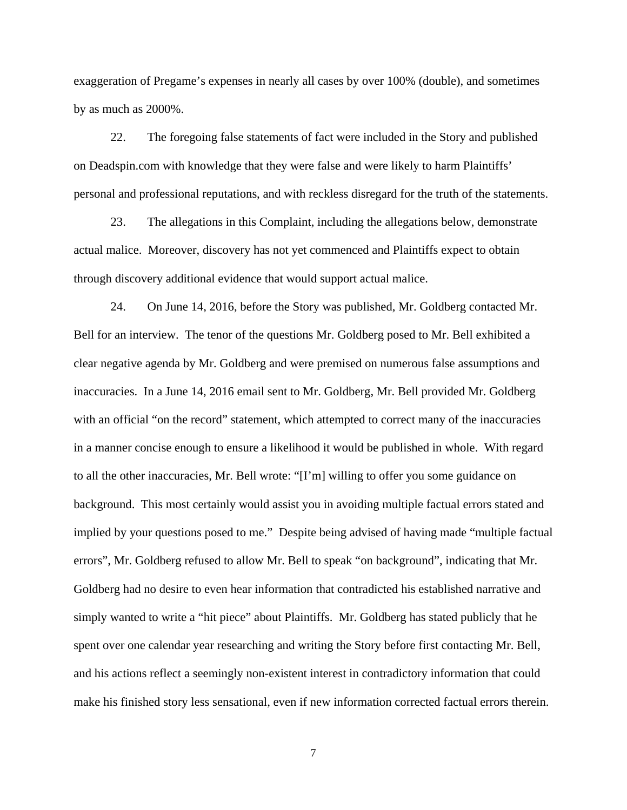exaggeration of Pregame's expenses in nearly all cases by over 100% (double), and sometimes by as much as 2000%.

22. The foregoing false statements of fact were included in the Story and published on Deadspin.com with knowledge that they were false and were likely to harm Plaintiffs' personal and professional reputations, and with reckless disregard for the truth of the statements.

23. The allegations in this Complaint, including the allegations below, demonstrate actual malice. Moreover, discovery has not yet commenced and Plaintiffs expect to obtain through discovery additional evidence that would support actual malice.

24. On June 14, 2016, before the Story was published, Mr. Goldberg contacted Mr. Bell for an interview. The tenor of the questions Mr. Goldberg posed to Mr. Bell exhibited a clear negative agenda by Mr. Goldberg and were premised on numerous false assumptions and inaccuracies. In a June 14, 2016 email sent to Mr. Goldberg, Mr. Bell provided Mr. Goldberg with an official "on the record" statement, which attempted to correct many of the inaccuracies in a manner concise enough to ensure a likelihood it would be published in whole. With regard to all the other inaccuracies, Mr. Bell wrote: "[I'm] willing to offer you some guidance on background. This most certainly would assist you in avoiding multiple factual errors stated and implied by your questions posed to me." Despite being advised of having made "multiple factual errors", Mr. Goldberg refused to allow Mr. Bell to speak "on background", indicating that Mr. Goldberg had no desire to even hear information that contradicted his established narrative and simply wanted to write a "hit piece" about Plaintiffs. Mr. Goldberg has stated publicly that he spent over one calendar year researching and writing the Story before first contacting Mr. Bell, and his actions reflect a seemingly non-existent interest in contradictory information that could make his finished story less sensational, even if new information corrected factual errors therein.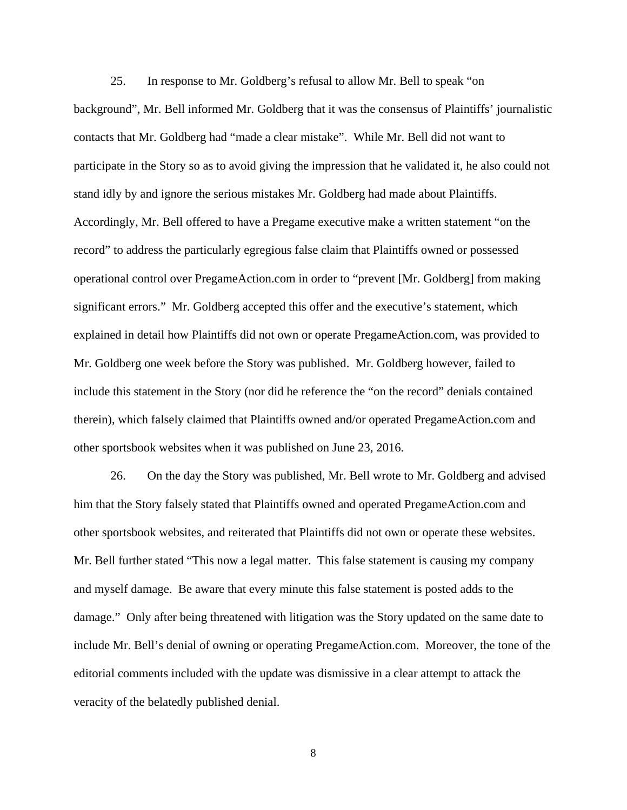25. In response to Mr. Goldberg's refusal to allow Mr. Bell to speak "on background", Mr. Bell informed Mr. Goldberg that it was the consensus of Plaintiffs' journalistic contacts that Mr. Goldberg had "made a clear mistake". While Mr. Bell did not want to participate in the Story so as to avoid giving the impression that he validated it, he also could not stand idly by and ignore the serious mistakes Mr. Goldberg had made about Plaintiffs. Accordingly, Mr. Bell offered to have a Pregame executive make a written statement "on the record" to address the particularly egregious false claim that Plaintiffs owned or possessed operational control over PregameAction.com in order to "prevent [Mr. Goldberg] from making significant errors." Mr. Goldberg accepted this offer and the executive's statement, which explained in detail how Plaintiffs did not own or operate PregameAction.com, was provided to Mr. Goldberg one week before the Story was published. Mr. Goldberg however, failed to include this statement in the Story (nor did he reference the "on the record" denials contained therein), which falsely claimed that Plaintiffs owned and/or operated PregameAction.com and other sportsbook websites when it was published on June 23, 2016.

26. On the day the Story was published, Mr. Bell wrote to Mr. Goldberg and advised him that the Story falsely stated that Plaintiffs owned and operated PregameAction.com and other sportsbook websites, and reiterated that Plaintiffs did not own or operate these websites. Mr. Bell further stated "This now a legal matter. This false statement is causing my company and myself damage. Be aware that every minute this false statement is posted adds to the damage." Only after being threatened with litigation was the Story updated on the same date to include Mr. Bell's denial of owning or operating PregameAction.com. Moreover, the tone of the editorial comments included with the update was dismissive in a clear attempt to attack the veracity of the belatedly published denial.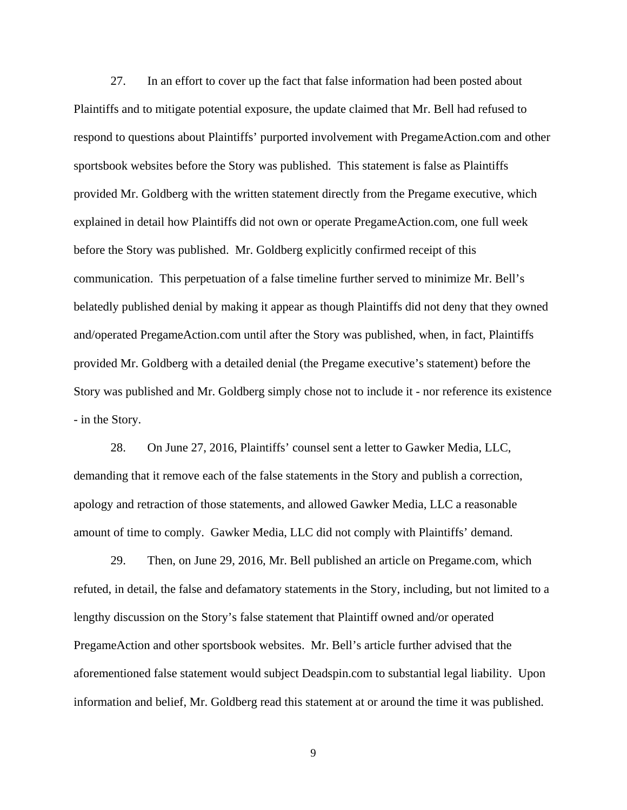27. In an effort to cover up the fact that false information had been posted about Plaintiffs and to mitigate potential exposure, the update claimed that Mr. Bell had refused to respond to questions about Plaintiffs' purported involvement with PregameAction.com and other sportsbook websites before the Story was published. This statement is false as Plaintiffs provided Mr. Goldberg with the written statement directly from the Pregame executive, which explained in detail how Plaintiffs did not own or operate PregameAction.com, one full week before the Story was published. Mr. Goldberg explicitly confirmed receipt of this communication. This perpetuation of a false timeline further served to minimize Mr. Bell's belatedly published denial by making it appear as though Plaintiffs did not deny that they owned and/operated PregameAction.com until after the Story was published, when, in fact, Plaintiffs provided Mr. Goldberg with a detailed denial (the Pregame executive's statement) before the Story was published and Mr. Goldberg simply chose not to include it - nor reference its existence - in the Story.

28. On June 27, 2016, Plaintiffs' counsel sent a letter to Gawker Media, LLC, demanding that it remove each of the false statements in the Story and publish a correction, apology and retraction of those statements, and allowed Gawker Media, LLC a reasonable amount of time to comply. Gawker Media, LLC did not comply with Plaintiffs' demand.

29. Then, on June 29, 2016, Mr. Bell published an article on Pregame.com, which refuted, in detail, the false and defamatory statements in the Story, including, but not limited to a lengthy discussion on the Story's false statement that Plaintiff owned and/or operated PregameAction and other sportsbook websites. Mr. Bell's article further advised that the aforementioned false statement would subject Deadspin.com to substantial legal liability. Upon information and belief, Mr. Goldberg read this statement at or around the time it was published.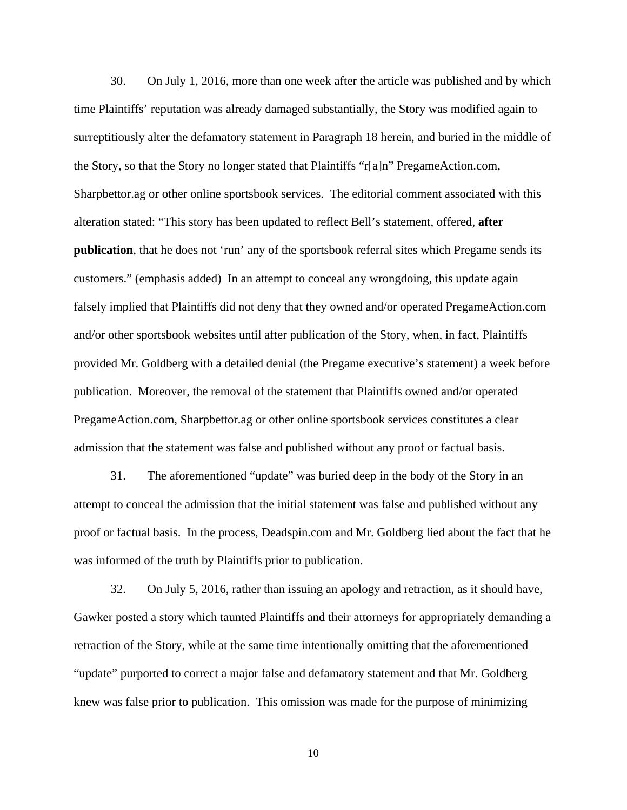30. On July 1, 2016, more than one week after the article was published and by which time Plaintiffs' reputation was already damaged substantially, the Story was modified again to surreptitiously alter the defamatory statement in Paragraph 18 herein, and buried in the middle of the Story, so that the Story no longer stated that Plaintiffs "r[a]n" PregameAction.com, Sharpbettor.ag or other online sportsbook services. The editorial comment associated with this alteration stated: "This story has been updated to reflect Bell's statement, offered, **after publication**, that he does not 'run' any of the sportsbook referral sites which Pregame sends its customers." (emphasis added) In an attempt to conceal any wrongdoing, this update again falsely implied that Plaintiffs did not deny that they owned and/or operated PregameAction.com and/or other sportsbook websites until after publication of the Story, when, in fact, Plaintiffs provided Mr. Goldberg with a detailed denial (the Pregame executive's statement) a week before publication. Moreover, the removal of the statement that Plaintiffs owned and/or operated PregameAction.com, Sharpbettor.ag or other online sportsbook services constitutes a clear admission that the statement was false and published without any proof or factual basis.

31. The aforementioned "update" was buried deep in the body of the Story in an attempt to conceal the admission that the initial statement was false and published without any proof or factual basis. In the process, Deadspin.com and Mr. Goldberg lied about the fact that he was informed of the truth by Plaintiffs prior to publication.

32. On July 5, 2016, rather than issuing an apology and retraction, as it should have, Gawker posted a story which taunted Plaintiffs and their attorneys for appropriately demanding a retraction of the Story, while at the same time intentionally omitting that the aforementioned "update" purported to correct a major false and defamatory statement and that Mr. Goldberg knew was false prior to publication. This omission was made for the purpose of minimizing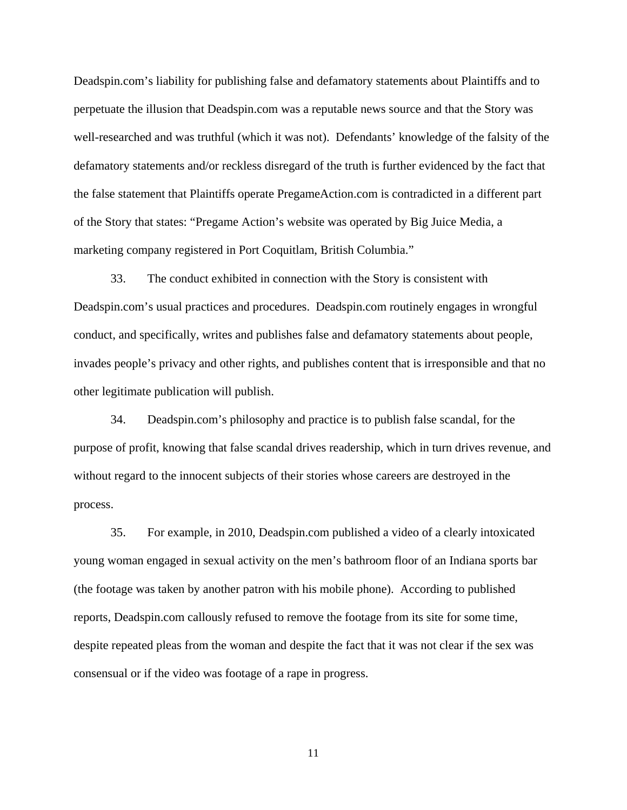Deadspin.com's liability for publishing false and defamatory statements about Plaintiffs and to perpetuate the illusion that Deadspin.com was a reputable news source and that the Story was well-researched and was truthful (which it was not). Defendants' knowledge of the falsity of the defamatory statements and/or reckless disregard of the truth is further evidenced by the fact that the false statement that Plaintiffs operate PregameAction.com is contradicted in a different part of the Story that states: "Pregame Action's website was operated by Big Juice Media, a marketing company registered in Port Coquitlam, British Columbia."

33. The conduct exhibited in connection with the Story is consistent with Deadspin.com's usual practices and procedures. Deadspin.com routinely engages in wrongful conduct, and specifically, writes and publishes false and defamatory statements about people, invades people's privacy and other rights, and publishes content that is irresponsible and that no other legitimate publication will publish.

34. Deadspin.com's philosophy and practice is to publish false scandal, for the purpose of profit, knowing that false scandal drives readership, which in turn drives revenue, and without regard to the innocent subjects of their stories whose careers are destroyed in the process.

35. For example, in 2010, Deadspin.com published a video of a clearly intoxicated young woman engaged in sexual activity on the men's bathroom floor of an Indiana sports bar (the footage was taken by another patron with his mobile phone). According to published reports, Deadspin.com callously refused to remove the footage from its site for some time, despite repeated pleas from the woman and despite the fact that it was not clear if the sex was consensual or if the video was footage of a rape in progress.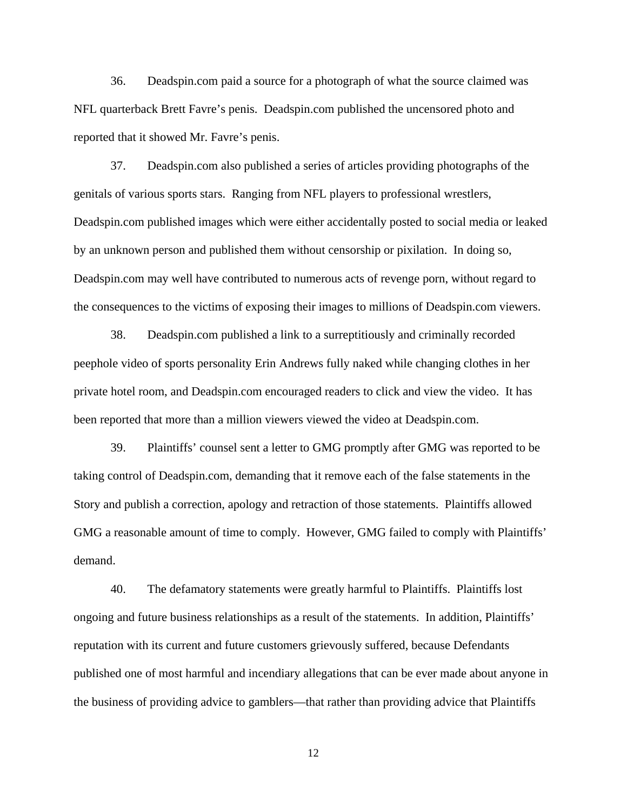36. Deadspin.com paid a source for a photograph of what the source claimed was NFL quarterback Brett Favre's penis. Deadspin.com published the uncensored photo and reported that it showed Mr. Favre's penis.

37. Deadspin.com also published a series of articles providing photographs of the genitals of various sports stars. Ranging from NFL players to professional wrestlers, Deadspin.com published images which were either accidentally posted to social media or leaked by an unknown person and published them without censorship or pixilation. In doing so, Deadspin.com may well have contributed to numerous acts of revenge porn, without regard to the consequences to the victims of exposing their images to millions of Deadspin.com viewers.

38. Deadspin.com published a link to a surreptitiously and criminally recorded peephole video of sports personality Erin Andrews fully naked while changing clothes in her private hotel room, and Deadspin.com encouraged readers to click and view the video. It has been reported that more than a million viewers viewed the video at Deadspin.com.

39. Plaintiffs' counsel sent a letter to GMG promptly after GMG was reported to be taking control of Deadspin.com, demanding that it remove each of the false statements in the Story and publish a correction, apology and retraction of those statements. Plaintiffs allowed GMG a reasonable amount of time to comply. However, GMG failed to comply with Plaintiffs' demand.

40. The defamatory statements were greatly harmful to Plaintiffs. Plaintiffs lost ongoing and future business relationships as a result of the statements. In addition, Plaintiffs' reputation with its current and future customers grievously suffered, because Defendants published one of most harmful and incendiary allegations that can be ever made about anyone in the business of providing advice to gamblers—that rather than providing advice that Plaintiffs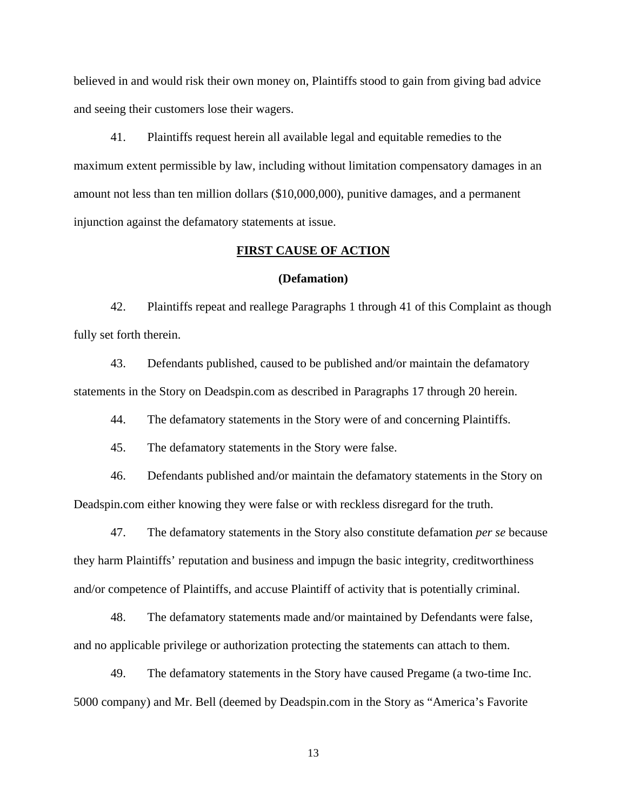believed in and would risk their own money on, Plaintiffs stood to gain from giving bad advice and seeing their customers lose their wagers.

41. Plaintiffs request herein all available legal and equitable remedies to the maximum extent permissible by law, including without limitation compensatory damages in an amount not less than ten million dollars (\$10,000,000), punitive damages, and a permanent injunction against the defamatory statements at issue.

## **FIRST CAUSE OF ACTION**

#### **(Defamation)**

42. Plaintiffs repeat and reallege Paragraphs 1 through 41 of this Complaint as though fully set forth therein.

43. Defendants published, caused to be published and/or maintain the defamatory statements in the Story on Deadspin.com as described in Paragraphs 17 through 20 herein.

44. The defamatory statements in the Story were of and concerning Plaintiffs.

45. The defamatory statements in the Story were false.

46. Defendants published and/or maintain the defamatory statements in the Story on Deadspin.com either knowing they were false or with reckless disregard for the truth.

47. The defamatory statements in the Story also constitute defamation *per se* because they harm Plaintiffs' reputation and business and impugn the basic integrity, creditworthiness and/or competence of Plaintiffs, and accuse Plaintiff of activity that is potentially criminal.

48. The defamatory statements made and/or maintained by Defendants were false, and no applicable privilege or authorization protecting the statements can attach to them.

49. The defamatory statements in the Story have caused Pregame (a two-time Inc. 5000 company) and Mr. Bell (deemed by Deadspin.com in the Story as "America's Favorite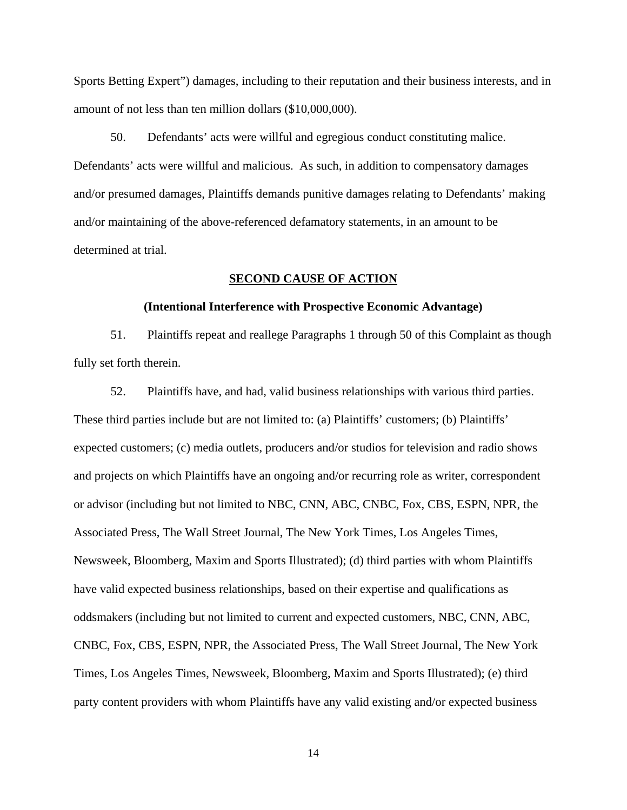Sports Betting Expert") damages, including to their reputation and their business interests, and in amount of not less than ten million dollars (\$10,000,000).

50. Defendants' acts were willful and egregious conduct constituting malice. Defendants' acts were willful and malicious. As such, in addition to compensatory damages and/or presumed damages, Plaintiffs demands punitive damages relating to Defendants' making and/or maintaining of the above-referenced defamatory statements, in an amount to be determined at trial.

## **SECOND CAUSE OF ACTION**

## **(Intentional Interference with Prospective Economic Advantage)**

51. Plaintiffs repeat and reallege Paragraphs 1 through 50 of this Complaint as though fully set forth therein.

52. Plaintiffs have, and had, valid business relationships with various third parties. These third parties include but are not limited to: (a) Plaintiffs' customers; (b) Plaintiffs' expected customers; (c) media outlets, producers and/or studios for television and radio shows and projects on which Plaintiffs have an ongoing and/or recurring role as writer, correspondent or advisor (including but not limited to NBC, CNN, ABC, CNBC, Fox, CBS, ESPN, NPR, the Associated Press, The Wall Street Journal, The New York Times, Los Angeles Times, Newsweek, Bloomberg, Maxim and Sports Illustrated); (d) third parties with whom Plaintiffs have valid expected business relationships, based on their expertise and qualifications as oddsmakers (including but not limited to current and expected customers, NBC, CNN, ABC, CNBC, Fox, CBS, ESPN, NPR, the Associated Press, The Wall Street Journal, The New York Times, Los Angeles Times, Newsweek, Bloomberg, Maxim and Sports Illustrated); (e) third party content providers with whom Plaintiffs have any valid existing and/or expected business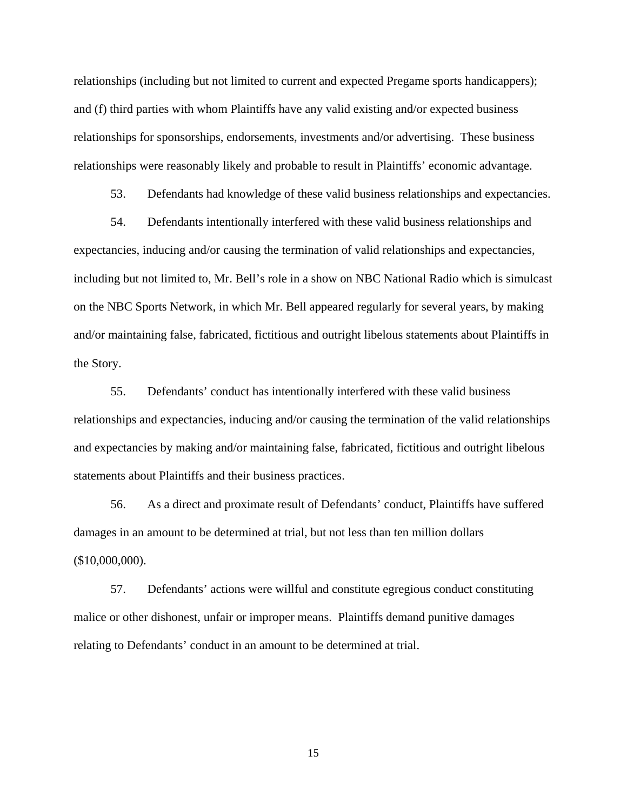relationships (including but not limited to current and expected Pregame sports handicappers); and (f) third parties with whom Plaintiffs have any valid existing and/or expected business relationships for sponsorships, endorsements, investments and/or advertising. These business relationships were reasonably likely and probable to result in Plaintiffs' economic advantage.

53. Defendants had knowledge of these valid business relationships and expectancies.

54. Defendants intentionally interfered with these valid business relationships and expectancies, inducing and/or causing the termination of valid relationships and expectancies, including but not limited to, Mr. Bell's role in a show on NBC National Radio which is simulcast on the NBC Sports Network, in which Mr. Bell appeared regularly for several years, by making and/or maintaining false, fabricated, fictitious and outright libelous statements about Plaintiffs in the Story.

55. Defendants' conduct has intentionally interfered with these valid business relationships and expectancies, inducing and/or causing the termination of the valid relationships and expectancies by making and/or maintaining false, fabricated, fictitious and outright libelous statements about Plaintiffs and their business practices.

56. As a direct and proximate result of Defendants' conduct, Plaintiffs have suffered damages in an amount to be determined at trial, but not less than ten million dollars (\$10,000,000).

57. Defendants' actions were willful and constitute egregious conduct constituting malice or other dishonest, unfair or improper means. Plaintiffs demand punitive damages relating to Defendants' conduct in an amount to be determined at trial.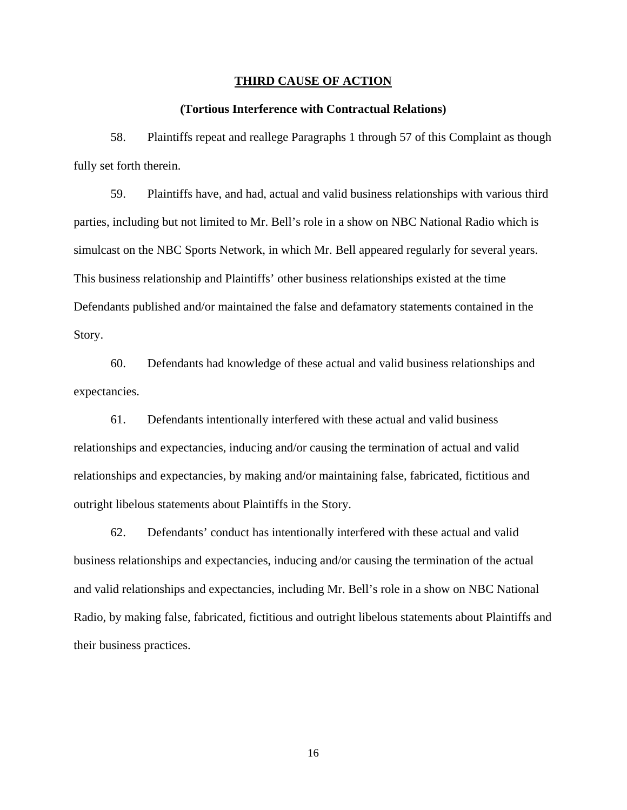#### **THIRD CAUSE OF ACTION**

## **(Tortious Interference with Contractual Relations)**

58. Plaintiffs repeat and reallege Paragraphs 1 through 57 of this Complaint as though fully set forth therein.

59. Plaintiffs have, and had, actual and valid business relationships with various third parties, including but not limited to Mr. Bell's role in a show on NBC National Radio which is simulcast on the NBC Sports Network, in which Mr. Bell appeared regularly for several years. This business relationship and Plaintiffs' other business relationships existed at the time Defendants published and/or maintained the false and defamatory statements contained in the Story.

60. Defendants had knowledge of these actual and valid business relationships and expectancies.

61. Defendants intentionally interfered with these actual and valid business relationships and expectancies, inducing and/or causing the termination of actual and valid relationships and expectancies, by making and/or maintaining false, fabricated, fictitious and outright libelous statements about Plaintiffs in the Story.

62. Defendants' conduct has intentionally interfered with these actual and valid business relationships and expectancies, inducing and/or causing the termination of the actual and valid relationships and expectancies, including Mr. Bell's role in a show on NBC National Radio, by making false, fabricated, fictitious and outright libelous statements about Plaintiffs and their business practices.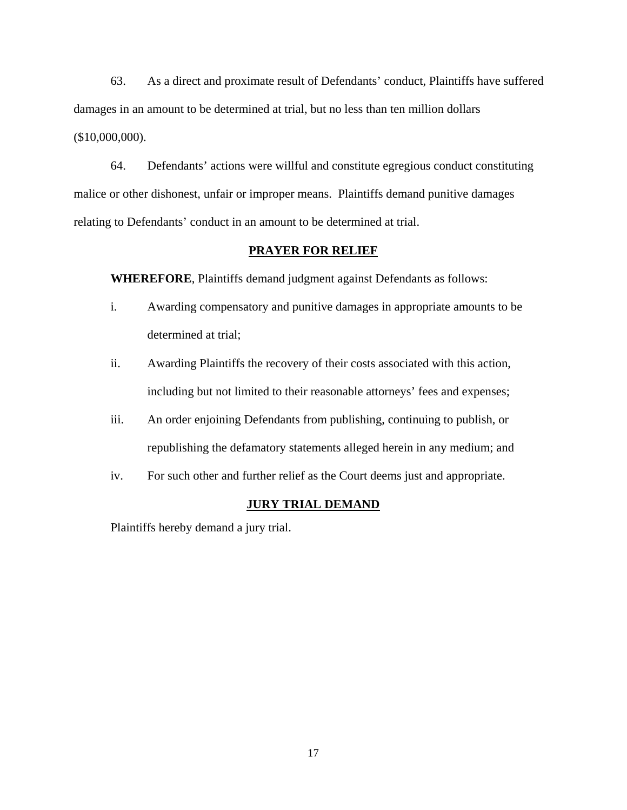63. As a direct and proximate result of Defendants' conduct, Plaintiffs have suffered damages in an amount to be determined at trial, but no less than ten million dollars (\$10,000,000).

64. Defendants' actions were willful and constitute egregious conduct constituting malice or other dishonest, unfair or improper means. Plaintiffs demand punitive damages relating to Defendants' conduct in an amount to be determined at trial.

## **PRAYER FOR RELIEF**

**WHEREFORE**, Plaintiffs demand judgment against Defendants as follows:

- i. Awarding compensatory and punitive damages in appropriate amounts to be determined at trial;
- ii. Awarding Plaintiffs the recovery of their costs associated with this action, including but not limited to their reasonable attorneys' fees and expenses;
- iii. An order enjoining Defendants from publishing, continuing to publish, or republishing the defamatory statements alleged herein in any medium; and
- iv. For such other and further relief as the Court deems just and appropriate.

## **JURY TRIAL DEMAND**

Plaintiffs hereby demand a jury trial.